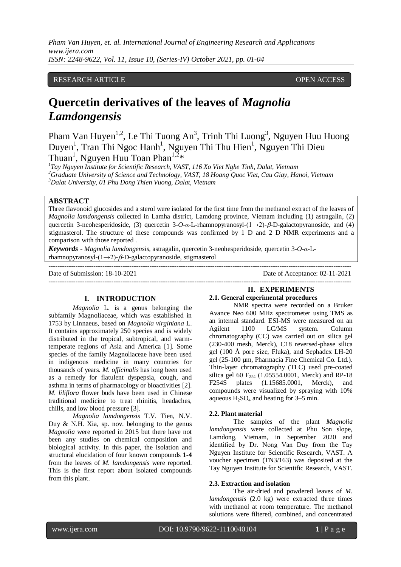*Pham Van Huyen, et. al. International Journal of Engineering Research and Applications www.ijera.com ISSN: 2248-9622, Vol. 11, Issue 10, (Series-IV) October 2021, pp. 01-04*

# RESEARCH ARTICLE **CONSERVERS** OPEN ACCESS

# **Quercetin derivatives of the leaves of** *Magnolia Lamdongensis*

Pham Van Huyen<sup>1,2</sup>, Le Thi Tuong An<sup>3</sup>, Trinh Thi Luong<sup>3</sup>, Nguyen Huu Huong Duyen<sup>1</sup>, Tran Thi Ngoc Hanh<sup>1</sup>, Nguyen Thi Thu Hien<sup>1</sup>, Nguyen Thi Dieu Thuan<sup>1</sup>, Nguyen Huu Toan Phan<sup>1,2</sup>\*

*1 Tay Nguyen Institute for Scientific Research, VAST, 116 Xo Viet Nghe Tinh, Dalat, Vietnam <sup>2</sup>Graduate University of Science and Technology, VAST, 18 Hoang Quoc Viet, Cau Giay, Hanoi, Vietnam <sup>3</sup>Dalat University, 01 Phu Dong Thien Vuong, Dalat, Vietnam* 

## **ABSTRACT**

Three flavonoid glucosides and a sterol were isolated for the first time from the methanol extract of the leaves of *Magnolia lamdongensis* collected in Lamha district, Lamdong province, Vietnam including (1) astragalin, (2) quercetin 3-neohesperidoside, (3) quercetin 3-*O-α*-L-rhamnopyranosyl-(1→2)-*β*-D-galactopyranoside, and (4) stigmasterol. The structure of these compounds was confirmed by 1 D and 2 D NMR experiments and a comparison with those reported .

---------------------------------------------------------------------------------------------------------------------------------------

*Keywords* **-** *Magnolia lamdongensis,* astragalin, quercetin 3-neohesperidoside, quercetin 3-*O-α*-Lrhamnopyranosyl- $(1\rightarrow 2)$ - $\beta$ -D-galactopyranoside, stigmasterol

---------------------------------------------------------------------------------------------------------------------------------------

Date of Submission: 18-10-2021 Date of Acceptance: 02-11-2021

#### **I. INTRODUCTION**

*Magnolia* L. is a genus belonging the subfamily Magnoliaceae, which was established in 1753 by Linnaeus, based on *Magnolia virginiana* L. It contains approximately 250 species and is widely distributed in the tropical, subtropical, and warmtemperate regions of Asia and America [1]. Some species of the family Magnoliaceae have been used in indigenous medicine in many countries for thousands of years. *M. officinalis* has long been used as a remedy for flatulent dyspepsia, cough, and asthma in terms of pharmacology or bioactivities [2]. *M. liliflora* flower buds have been used in Chinese traditional medicine to treat rhinitis, headaches, chills, and low blood pressure [3].

*Magnolia lamdongensis* T.V. Tien, N.V. Duy & N.H. Xia, sp. nov. belonging to the genus *Magnolia* were reported in 2015 but there have not been any studies on chemical composition and biological activity. In this paper, the isolation and structural elucidation of four known compounds **1-4** from the leaves of *M. lamdongensis* were reported. This is the first report about isolated compounds from this plant.

#### **II. EXPERIMENTS**

# **2.1. General experimental procedures**

NMR spectra were recorded on a Bruker Avance Neo 600 MHz spectrometer using TMS as an internal standard. ESI-MS were measured on an Agilent 1100 LC/MS system. Column chromatography (CC) was carried out on silica gel (230-400 mesh, Merck), C18 reversed-phase silica gel (100 Å pore size, Fluka), and Sephadex LH-20 gel (25-100 µm, Pharmacia Fine Chemical Co. Ltd.). Thin-layer chromatography (TLC) used pre-coated silica gel 60  $F_{254}$  (1.05554.0001, Merck) and RP-18<br>F254S plates (1.15685.0001, Merck), and  $(1.15685.0001,$  Merck), and compounds were visualized by spraying with 10% aqueous  $H_2SO_4$  and heating for 3–5 min.

#### **2.2. Plant material**

The samples of the plant *Magnolia lamdongensis* were collected at Phu Son slope, Lamdong, Vietnam, in September 2020 and identified by Dr. Nong Van Duy from the Tay Nguyen Institute for Scientific Research, VAST. A voucher specimen (TN3/163) was deposited at the Tay Nguyen Institute for Scientific Research, VAST.

## **2.3. Extraction and isolation**

The air-dried and powdered leaves of *M. lamdongensis* (2.0 kg) were extracted three times with methanol at room temperature. The methanol solutions were filtered, combined, and concentrated

l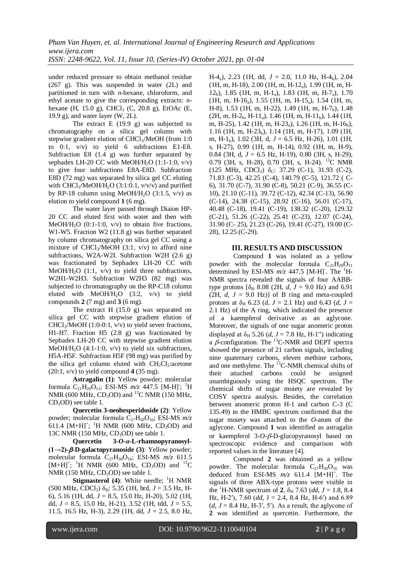under reduced pressure to obtain methanol residue (267 g). This was suspended in water (2L) and partitioned in turn with *n*-hexane, chloroform, and ethyl acetate to give the corresponding extracts: *n*hexane (H, 15.0 g), CHCl<sub>3</sub> (C, 20.8 g), EtOAc (E, 19.9 g), and water layer  $(W, 2L)$ .

The extract  $E(19.9 g)$  was subjected to chromatography on a silica gel column with stepwise gradient elution of CHCl<sub>3</sub>/MeOH (from 1:0 to 0:1, v/v) to yield 6 subfractions E1-E8. Subfraction E8 (1.4 g) was further separated by sephadex LH-20 CC with MeOH/H<sub>2</sub>O  $(1:1-1:0, v/v)$ to give four subfractions E8A-E8D. Subfraction E8D (72 mg) was separated by silica gel CC eluting with CHCl<sub>3</sub>/MeOH/H<sub>2</sub>O (3:1:0.1,  $v/v/v$ ) and purified by RP-18 column using MeOH/H<sub>2</sub>O  $(3:1.5, v/v)$  as elution to yield compound **1** (6 mg).

The water layer passed through Diaion HP-20 CC and eluted first with water and then with MeOH/H<sub>2</sub>O (0:1-1:0,  $v/v$ ) to obtain five fractions, W1-W5. Fraction W2 (11.8 g) was further separated by column chromatography on silica gel CC using a mixture of CHCl<sub>3</sub>/MeOH  $(3:1, v/v)$  to afford nine subfractions, W2A-W2I. Subfraction W2H (2.6 g) was fractionated by Sephadex LH-20 CC with MeOH/H<sub>2</sub>O (1:1,  $v/v$ ) to yield three subfractions, W2H1-W2H3. Subfraction W2H3 (82 mg) was subjected to chromatography on the RP-C18 column eluted with MeOH/H<sub>2</sub>O  $(3:2, v/v)$  to yield compounds **2** (7 mg) and **3** (6 mg).

The extract H (15.0 g) was separated on silica gel CC with stepwise gradient elution of CHCl<sub>3</sub>/MeOH (1:0-0:1,  $v/v$ ) to yield seven fractions, H1-H7. Fraction H5 (2.8 g) was fractionated by Sephadex LH-20 CC with stepwise gradient elution MeOH/H<sub>2</sub>O (4:1-1:0,  $v/v$ ) to yield six subfractions, H5A-H5F. Subfraction H5F (98 mg) was purified by the silica gel column eluted with  $CH<sub>2</sub>Cl<sub>2</sub>$ :acetone (20:1, v/v) to yield compound **4** (35 mg).

**Astragalin (1)**: Yellow powder; molecular formula  $C_{21}H_{20}O_{11}$ ; ESI-MS  $m/z$  447.5 [M-H]<sup>-</sup>; <sup>1</sup>H NMR (600 MHz,  $CD<sub>3</sub>OD$ ) and <sup>13</sup>C NMR (150 MHz,  $CD<sub>3</sub>OD$  see table 1.

**Quercetin 3-neohesperidoside (2)**: Yellow powder; molecular formula C<sub>27</sub>H<sub>30</sub>O<sub>16</sub>; ESI-MS *m/z* 611.4  $[M+H]^+$ ; <sup>1</sup>H NMR (600 MHz, CD<sub>3</sub>OD) and 13C NMR (150 MHz,  $CD<sub>3</sub>OD$ ) see table 1.

**Quercetin 3-***O-α***-L-rhamnopyranosyl- (1→2)--D-galactopyranoside (3)**: Yellow powder; molecular formula C<sub>27</sub>H<sub>30</sub>O<sub>16</sub>; ESI-MS  $m/z$  611.5  $[M+H]^+$ ; <sup>1</sup>H NMR (600 MHz, CD<sub>3</sub>OD) and <sup>13</sup>C NMR (150 MHz,  $CD<sub>3</sub>OD$ ) see table 1.

**Stigmasterol (4):** White needle; <sup>1</sup>H NMR  $(500 \text{ MHz}, \text{CDCl}_3) \delta_H$ : 5.35 (1H, brd,  $J = 3.5 \text{ Hz}$ , H-6), 5.16 (1H, dd, *J* = 8.5, 15.0 Hz, H-20), 5.02 (1H, dd, *J* = 8.5, 15.0 Hz, H-21), 3.52 (1H, tdd, *J* = 5.5, 11.5, 16.5 Hz, H-3), 2.29 (1H, dd, *J* = 2.5, 8.0 Hz,

H-4<sub>a</sub>), 2.23 (1H, dd,  $J = 2.0$ , 11.0 Hz, H-4<sub>b</sub>), 2.04 (1H, m, H-18), 2.00 (1H, m, H-12a), 1.99 (1H, m, H-12<sub>b</sub>), 1.85 (1H, m, H-1<sub>a</sub>), 1.83 (1H, m, H-7<sub>a</sub>), 1.70  $(1H, m, H-16)$ , 1.55  $(1H, m, H-15)$ , 1.54  $(1H, m, H-16)$ H-8), 1.53 (1H, m, H-22), 1.49 (1H, m, H-7<sub>b</sub>), 1.48  $(2H, m, H-2<sub>b</sub>, H-11<sub>a</sub>), 1.46$  (1H, m, H-11<sub>b</sub>), 1.44 (1H, m, H-25), 1.42 (1H, m, H-23<sub>a</sub>), 1.26 (1H, m, H-16<sub>b</sub>), 1.16 (1H, m, H-23<sub>b</sub>), 1.14 (1H, m, H-17), 1.09 (1H, m, H-1b), 1.02 (3H, d, *J* = 6.5 Hz, H-26), 1.01 (1H, s, H-27), 0.99 (1H, m, H-14), 0.92 (1H, m, H-9), 0.84 (3H, d, *J* = 6.5 Hz, H-19), 0.80 (3H, s, H-29), 0.79 (3H, s, H-28), 0.70 (3H, s, H-24). <sup>13</sup>C NMR (125 MHz, CDCl<sub>3</sub>)  $\delta$ <sub>C</sub>: 37.29 (C-1), 31.93 (C-2), 71.83 (C-3), 42.25 (C-4), 140.79 (C-5), 121.72 ( C-6), 31.70 (C-7), 31.90 (C-8), 50.21 (C-9), 36.55 (C-10), 21.10 (C-11), 39.72 (C-12), 42.34 (C-13), 56.90 (C-14), 24.38 (C-15), 28.92 (C-16), 56.01 (C-17), 40.48 (C-18), 19.41 (C-19), 138.32 (C-20), 129.32 (C-21), 51.26 (C-22), 25.41 (C-23), 12.07 (C-24), 31.90 (C- 25), 21.23 (C-26), 19.41 (C-27), 19.00 (C-28), 12.25 (C-29).

# **III. RESULTS AND DISCUSSION**

Compound **1** was isolated as a yellow powder with the molecular formula  $C_{21}H_{20}O_{11}$ determined by ESI-MS  $m/z$  447.5 [M-H]<sup>-</sup>. The <sup>1</sup>H-NMR spectra revealed the signals of four AABBtype protons  $\delta_H$  8.08 (2H, *d*, *J* = 9.0 Hz) and 6.91 (2H,  $d$ ,  $J = 9.0$  Hz)] of B ring and meta-coupled protons at  $\delta_H$  6.23 (*d, J* = 2.1 Hz) and 6.43 (*d, J* = 2.1 Hz) of the A ring, which indicated the presence of a kaempferol derivative as an aglycone. Moreover, the signals of one sugar anomeric proton displayed at  $\delta_H$  5.26 (*d*, *J* = 7.8 Hz, H-1") indicating a  $\beta$ -configuration. The <sup>13</sup>C-NMR and DEPT spectra showed the presence of 21 carbon signals, including nine quaternary carbons, eleven methine carbons, and one methylene. The  $^{13}$ C-NMR chemical shifts of their attached carbons could be assigned unambiguously using the HSQC spectrum. The chemical shifts of sugar moiety are revealed by COSY spectra analysis. Besides, the correlation between anomeric proton H-1 and carbon C-3 (C 135.49) in the HMBC spectrum confirmed that the sugar moiety was attached to the *O*-atom of the aglycone. Compound **1** was identified as astragalin or kaempferol  $3-O$ - $\beta$ -D-glucopyranosyl based on spectroscopic evidence and comparison with reported values in the literature [4].

Compound **2** was obtained as a yellow powder. The molecular formula  $C_{27}H_{30}O_{16}$  was deduced from ESI-MS  $m/z$  611.4  $[M+H]$ <sup>+</sup>. The signals of three ABX-type protons were visible in the <sup>1</sup>H-NMR spectrum of **2**,  $\delta_H$  7.63 (*dd*, *J* = 1.8, 8.4 Hz, H-2'), 7.60 (*dd*, J = 2.4, 8.4 Hz, H-6') and 6.89  $(d, J = 8.4 \text{ Hz}, \text{ H-3}', 5')$ . As a result, the aglycone of **2** was identified as quercetin. Furthermore, the

l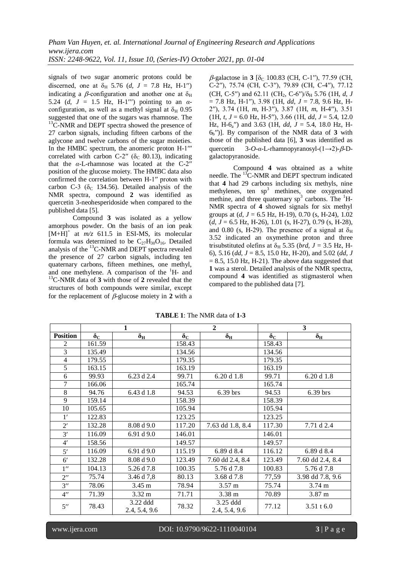signals of two sugar anomeric protons could be discerned, one at  $\delta_H$  5.76 (*d*, *J* = 7.8 Hz, H-1") indicating a  $\beta$ -configuration and another one at  $\delta_H$ 5.24 (*d*,  $J = 1.5$  Hz, H-1"') pointing to an  $\alpha$ configuration, as well as a methyl signal at  $\delta_H$  0.95 suggested that one of the sugars was rhamnose. The <sup>13</sup>C-NMR and DEPT spectra showed the presence of 27 carbon signals, including fifteen carbons of the aglycone and twelve carbons of the sugar moieties. In the HMBC spectrum, the anomeric proton H-1<sup>'''</sup> correlated with carbon C-2" ( $\delta$ <sub>C</sub> 80.13), indicating that the *α*-L-rhamnose was located at the C-2ʹʹ position of the glucose moiety. The HMBC data also confirmed the correlation between H-1ʹʹ proton with carbon C-3 ( $\delta$ <sub>C</sub> 134.56). Detailed analysis of the NMR spectra, compound **2** was identified as quercetin 3-neohesperidoside when compared to the published data [5].

Compound **3** was isolated as a yellow amorphous powder. On the basis of an ion peak  $[M+H]$ <sup>+</sup> at  $m/z$  611.5 in ESI-MS, its molecular formula was determined to be  $C_{27}H_{30}O_{16}$ . Detailed analysis of the <sup>13</sup>C-NMR and DEPT spectra revealed the presence of 27 carbon signals, including ten quaternary carbons, fifteen methines, one methyl, and one methylene. A comparison of the  $H$ - and <sup>13</sup>C-NMR data of **3** with those of **2** revealed that the structures of both compounds were similar, except for the replacement of  $\beta$ -glucose moiety in 2 with a

 $\beta$ -galactose in **3** [ $\delta$ <sub>C</sub> 100.83 (CH, C-1''), 77.59 (CH, C-2ʹʹ), 75.74 (CH, C-3ʹʹ), 79.89 (CH, C-4ʹʹ), 77.12 (CH, C-5<sup>"</sup>) and 62.11 (CH<sub>2</sub>, C-6<sup>"</sup>)/ $\delta_H$  5.76 (1H, *d, J* = 7.8 Hz, H-1ʹʹ), 3.98 (1H, *dd*, *J* = 7.8, 9.6 Hz, H-2ʹʹ), 3.74 (1H, *m*, H-3ʹʹ), 3.87 (1H, *m*, H-4ʹʹ), 3.51  $(1H, t, J = 6.0 \text{ Hz}, H = 5'')$ , 3.66 (1H, *dd*,  $J = 5.4$ , 12.0) Hz, H-6<sup>a</sup> ʹʹ) and 3.63 (1H, *dd*, *J* = 5.4, 18.0 Hz, H- $6<sub>b</sub>$ <sup>n</sup>)]. By comparison of the NMR data of 3 with those of the published data [6], **3** was identified as quercetin 3-*O-α*-L-rhamnopyranosyl-(1→2)-β-Dgalactopyranoside.

Compound **4** was obtained as a white needle. The <sup>13</sup>C-NMR and DEPT spectrum indicated that **4** had 29 carbons including six methyls, nine methylenes, ten  $sp<sup>3</sup>$  methines, one oxygenated methine, and three quaternary  $sp^3$  carbons. The  ${}^{1}$ H-NMR spectra of **4** showed signals for six methyl groups at (*d*, *J* = 6.5 Hz, H-19), 0.70 (s, H-24), 1.02 (*d*, *J* = 6.5 Hz, H-26), 1.01 (s, H-27), 0.79 (s, H-28), and 0.80 (s, H-29). The presence of a signal at  $\delta_{\rm H}$ 3.52 indicated an oxymethine proton and three trisubstituted olefins at  $\delta_H$  5.35 (*brd, J* = 3.5 Hz, H-6), 5.16 (*dd*, *J* = 8.5, 15.0 Hz, H-20), and 5.02 (*dd*, *J*  $= 8.5$ , 15.0 Hz, H-21). The above data suggested that **1** was a sterol. Detailed analysis of the NMR spectra, compound **4** was identified as stigmasterol when compared to the published data [7].

|                    | 1                |                           | $\overline{2}$   |                           | 3                |                  |
|--------------------|------------------|---------------------------|------------------|---------------------------|------------------|------------------|
| <b>Position</b>    | $\delta_{\rm C}$ | $\delta_{\rm H}$          | $\delta_{\rm C}$ | $\delta_{\rm H}$          | $\delta_{\rm C}$ | $\delta_{\rm H}$ |
| 2                  | 161.59           |                           | 158.43           |                           | 158.43           |                  |
| $\overline{3}$     | 135.49           |                           | 134.56           |                           | 134.56           |                  |
| $\overline{4}$     | 179.55           |                           | 179.35           |                           | 179.35           |                  |
| 5                  | 163.15           |                           | 163.19           |                           | 163.19           |                  |
| 6                  | 99.93            | 6.23 d 2.4                | 99.71            | 6.20 d 1.8                | 99.71            | 6.20 d 1.8       |
| 7                  | 166.06           |                           | 165.74           |                           | 165.74           |                  |
| 8                  | 94.76            | 6.43 d $1.\overline{8}$   | 94.53            | 6.39 brs                  | 94.53            | 6.39 brs         |
| 9                  | 159.14           |                           | 158.39           |                           | 158.39           |                  |
| 10                 | 105.65           |                           | 105.94           |                           | 105.94           |                  |
| $1^{\prime}$       | 122.83           |                           | 123.25           |                           | 123.25           |                  |
| $2^{\prime}$       | 132.28           | 8.08 d 9.0                | 117.20           | 7.63 dd 1.8, 8.4          | 117.30           | 7.71 d 2.4       |
| 3'                 | 116.09           | 6.91 d $9.0$              | 146.01           |                           | 146.01           |                  |
| $4^{\prime}$       | 158.56           |                           | 149.57           |                           | 149.57           |                  |
| 5'                 | 116.09           | 6.91 d 9.0                | 115.19           | 6.89 d 8.4                | 116.12           | 6.89 d 8.4       |
| $6^{\prime}$       | 132.28           | 8.08 d 9.0                | 123.49           | 7.60 dd 2.4, 8.4          | 123.49           | 7.60 dd 2.4, 8.4 |
| $1^{\prime\prime}$ | 104.13           | 5.26 d 7.8                | 100.35           | 5.76 d 7.8                | 100.83           | 5.76 d 7.8       |
| $2^{\prime\prime}$ | 75.74            | 3.46 d 7,8                | 80.13            | 3.68 d 7.8                | 77,59            | 3.98 dd 7.8, 9.6 |
| $3^{\prime\prime}$ | 78.06            | 3.45 m                    | 78.94            | 3.57 m                    | 75.74            | 3.74 m           |
| $4^{\prime\prime}$ | 71.39            | $3.32 \text{ m}$          | 71.71            | $3.38 \text{ m}$          | 70.89            | 3.87 m           |
| $5^{\prime\prime}$ | 78.43            | 3.22 ddd<br>2.4, 5.4, 9.6 | 78.32            | 3.25 ddd<br>2.4, 5.4, 9.6 | 77.12            | 3.51 t 6.0       |

**TABLE 1**: The NMR data of **1-3**

l

www.ijera.com DOI: 10.9790/9622-1110040104 **3** | P a g e